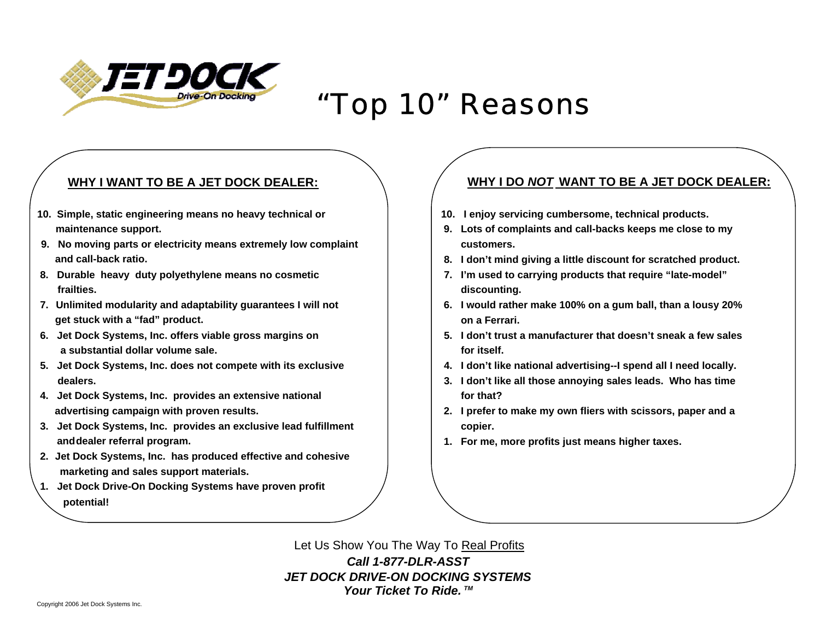

## "Top 10" Reasons

## **WHY I WANT TO BE A JET DOCK DEALER:**

- **10. Simple, static engineering means no heavy technical or 10. I enjoy servicing cumbersome, technical products.**
- 9. No moving parts or electricity means extremely low complaint **complaint** entertainments. **and call-back ratio. 8. I don't mind giving a little discount for scratched product.**
- **8. Durable heavy duty polyethylene means no cosmetic 7. I'm used to carrying products that require "late-model" frailties.** discounting. **discounting.**
- **7. Unlimited modularity and adaptability guarantees I will not 6. I would rather make 100% on a gum ball, than a lousy 20% get stuck with a "fad" product. on a Ferrari.**
- **a** substantial dollar volume sale. **For itself. for itself. for itself.**
- **5. Jet Dock Systems, Inc. does not compete with its exclusive 4. I don't like national advertising--I spend all I need locally.**
- **4.** Jet Dock Systems, Inc. provides an extensive national **Formulation Formulation for that?**
- **3.** Jet Dock Systems, Inc. provides an exclusive lead fulfillment  $\qquad$  | copier. and dealer referral program. **1. For metally and dealer referral program.** The same of the states in the states of the states of the states of the states of the states of the states of the states of the states of the state
- **2. Jet Dock Systems, Inc. has produced effective and cohesive marketing and sales support materials.**
- **1. Jet Dock Drive-On Docking Systems have proven profit potential!**

## **WHY I DO** *NOT* **WANT TO BE A JET DOCK DEALER:**

- 
- **maintenance support. 1. In the support of the support of the support of the support of the support of the support of the support of the support of the support of the support of the support of the support of the support** 
	-
	-
	-
- **6. Jet Dock Systems, Inc. offers viable gross margins on 5. I don't trust a manufacturer that doesn't sneak a few sales** 
	-
	- **dealers. 3. I don't like all those annoying sales leads. Who has time**
	- **advertising campaign with proven results. 2. I prefer to make my own fliers with scissors, paper and a** 
		-

Let Us Show You The Way To Real Profits *Call 1-877-DLR-ASSTJET DOCK DRIVE-ON DOCKING SYSTEMSYour Ticket To Ride. TM*